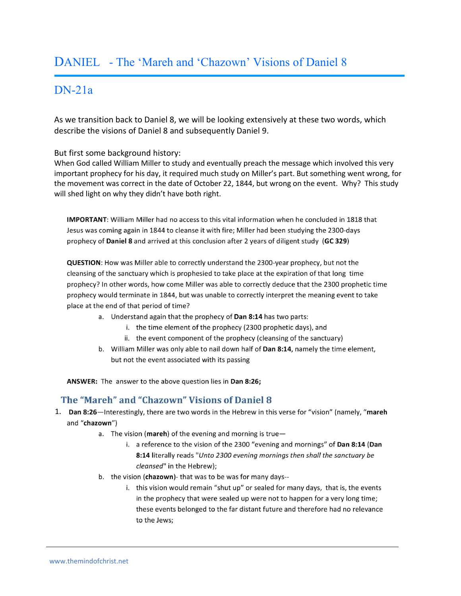# DANIEL - The 'Mareh and 'Chazown' Visions of Daniel 8

# DN-21a

As we transition back to Daniel 8, we will be looking extensively at these two words, which describe the visions of Daniel 8 and subsequently Daniel 9.

But first some background history:

j

When God called William Miller to study and eventually preach the message which involved this very important prophecy for his day, it required much study on Miller's part. But something went wrong, for the movement was correct in the date of October 22, 1844, but wrong on the event. Why? This study will shed light on why they didn't have both right.

IMPORTANT: William Miller had no access to this vital information when he concluded in 1818 that Jesus was coming again in 1844 to cleanse it with fire; Miller had been studying the 2300-days prophecy of Daniel 8 and arrived at this conclusion after 2 years of diligent study (GC 329)

QUESTION: How was Miller able to correctly understand the 2300-year prophecy, but not the cleansing of the sanctuary which is prophesied to take place at the expiration of that long time prophecy? In other words, how come Miller was able to correctly deduce that the 2300 prophetic time prophecy would terminate in 1844, but was unable to correctly interpret the meaning event to take place at the end of that period of time?

- a. Understand again that the prophecy of Dan 8:14 has two parts:
	- i. the time element of the prophecy (2300 prophetic days), and
	- ii. the event component of the prophecy (cleansing of the sanctuary)
- b. William Miller was only able to nail down half of Dan 8:14, namely the time element, but not the event associated with its passing

ANSWER: The answer to the above question lies in Dan 8:26;

#### The "Mareh" and "Chazown" Visions of Daniel 8

- 1. Dan 8:26—Interestingly, there are two words in the Hebrew in this verse for "vision" (namely, "mareh and "chazown")
	- a. The vision (mareh) of the evening and morning is true
		- i. a reference to the vision of the 2300 "evening and mornings" of Dan 8:14 (Dan 8:14 literally reads "Unto 2300 evening mornings then shall the sanctuary be cleansed" in the Hebrew);
	- b. the vision (chazown)- that was to be was for many days-
		- i. this vision would remain "shut up" or sealed for many days, that is, the events in the prophecy that were sealed up were not to happen for a very long time; these events belonged to the far distant future and therefore had no relevance to the Jews;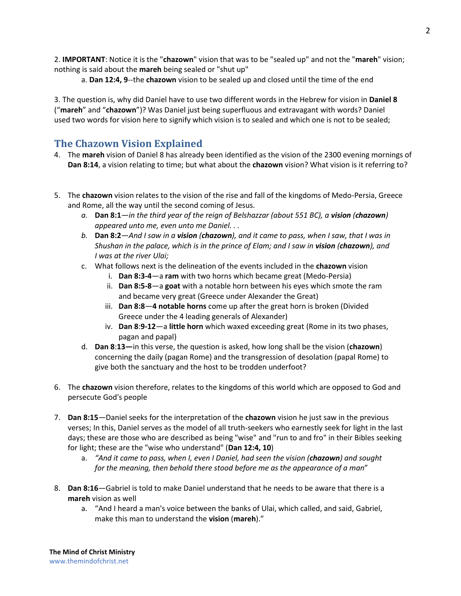2. **IMPORTANT**: Notice it is the "**chazown**" vision that was to be "sealed up" and not the "**mareh**" vision; nothing is said about the **mareh** being sealed or "shut up"

a. **Dan 12:4, 9**--the **chazown** vision to be sealed up and closed until the time of the end

3. The question is, why did Daniel have to use two different words in the Hebrew for vision in **Daniel 8** ("**mareh**" and "**chazown**")? Was Daniel just being superfluous and extravagant with words? Daniel used two words for vision here to signify which vision is to sealed and which one is not to be sealed;

## **The Chazown Vision Explained**

- 4. The **mareh** vision of Daniel 8 has already been identified as the vision of the 2300 evening mornings of **Dan 8:14**, a vision relating to time; but what about the **chazown** vision? What vision is it referring to?
- 5. The **chazown** vision relates to the vision of the rise and fall of the kingdoms of Medo-Persia, Greece and Rome, all the way until the second coming of Jesus.
	- *a.* **Dan 8:1**—*in the third year of the reign of Belshazzar (about 551 BC), a vision (chazown) appeared unto me, even unto me Daniel. . .*
	- *b.* **Dan 8:2**—*And I saw in a vision (chazown), and it came to pass, when I saw, that I was in Shushan in the palace, which is in the prince of Elam; and I saw in vision (chazown), and I was at the river Ulai;*
	- c. What follows next is the delineation of the events included in the **chazown** vision
		- i. **Dan 8:3-4**—a **ram** with two horns which became great (Medo-Persia)
		- ii. **Dan 8:5-8**—a **goat** with a notable horn between his eyes which smote the ram and became very great (Greece under Alexander the Great)
		- iii. **Dan 8:8**—**4 notable horns** come up after the great horn is broken (Divided Greece under the 4 leading generals of Alexander)
		- iv. **Dan 8**:**9-12**—a **little horn** which waxed exceeding great (Rome in its two phases, pagan and papal)
	- d. **Dan 8**:**13—**in this verse, the question is asked, how long shall be the vision (**chazown**) concerning the daily (pagan Rome) and the transgression of desolation (papal Rome) to give both the sanctuary and the host to be trodden underfoot?
- 6. The **chazown** vision therefore, relates to the kingdoms of this world which are opposed to God and persecute God's people
- 7. **Dan 8:15**—Daniel seeks for the interpretation of the **chazown** vision he just saw in the previous verses; In this, Daniel serves as the model of all truth-seekers who earnestly seek for light in the last days; these are those who are described as being "wise" and "run to and fro" in their Bibles seeking for light; these are the "wise who understand" (**Dan 12:4, 10**)
	- a. *"And it came to pass, when I, even I Daniel, had seen the vision (chazown) and sought for the meaning, then behold there stood before me as the appearance of a man*"
- 8. **Dan 8:16**—Gabriel is told to make Daniel understand that he needs to be aware that there is a **mareh** vision as well
	- a. "And I heard a man's voice between the banks of Ulai, which called, and said, Gabriel, make this man to understand the **vision** (**mareh**)."